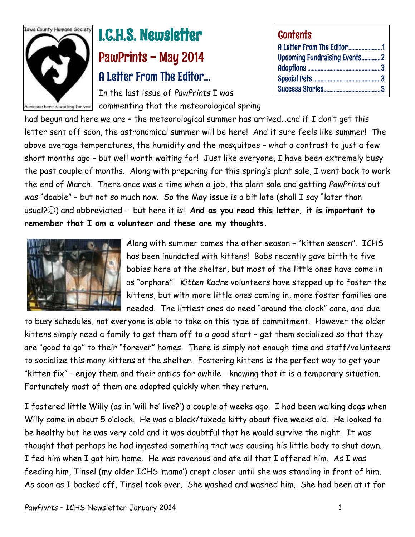

# I.C.H.S. Newsletter PawPrints - May 2014 A Letter From The Editor…

In the last issue of *PawPrints* I was omeone here is waiting for you! commenting that the meteorological spring

| <b>Contents</b>                     |  |
|-------------------------------------|--|
| A Letter From The Editor1           |  |
| <b>Upcoming Fundraising Events2</b> |  |
|                                     |  |
|                                     |  |
|                                     |  |

had begun and here we are – the meteorological summer has arrived…and if I don't get this letter sent off soon, the astronomical summer will be here! And it sure feels like summer! The above average temperatures, the humidity and the mosquitoes – what a contrast to just a few short months ago – but well worth waiting for! Just like everyone, I have been extremely busy the past couple of months. Along with preparing for this spring's plant sale, I went back to work the end of March. There once was a time when a job, the plant sale and getting *PawPrints* out was "doable" – but not so much now. So the May issue is a bit late (shall I say "later than usual?☺) and abbreviated - but here it is! **And as you read this letter, it is important to remember that I am a volunteer and these are my thoughts.** 



Along with summer comes the other season – "kitten season". ICHS has been inundated with kittens! Babs recently gave birth to five babies here at the shelter, but most of the little ones have come in as "orphans". *Kitten Kadre* volunteers have stepped up to foster the kittens, but with more little ones coming in, more foster families are needed. The littlest ones do need "around the clock" care, and due

to busy schedules, not everyone is able to take on this type of commitment. However the older kittens simply need a family to get them off to a good start – get them socialized so that they are "good to go" to their "forever" homes. There is simply not enough time and staff/volunteers to socialize this many kittens at the shelter. Fostering kittens is the perfect way to get your "kitten fix" - enjoy them and their antics for awhile - knowing that it is a temporary situation. Fortunately most of them are adopted quickly when they return.

I fostered little Willy (as in 'will he' live?') a couple of weeks ago. I had been walking dogs when Willy came in about 5 o'clock. He was a black/tuxedo kitty about five weeks old. He looked to be healthy but he was very cold and it was doubtful that he would survive the night. It was thought that perhaps he had ingested something that was causing his little body to shut down. I fed him when I got him home. He was ravenous and ate all that I offered him. As I was feeding him, Tinsel (my older ICHS 'mama') crept closer until she was standing in front of him. As soon as I backed off, Tinsel took over. She washed and washed him. She had been at it for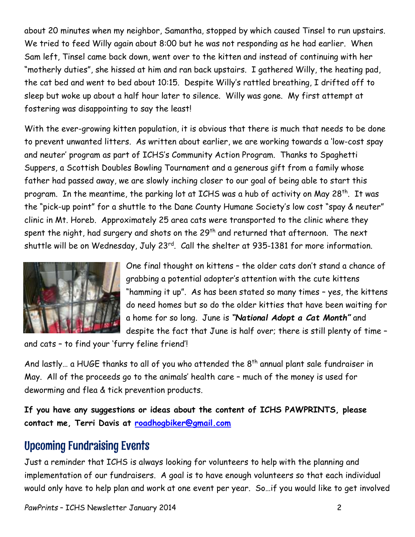about 20 minutes when my neighbor, Samantha, stopped by which caused Tinsel to run upstairs. We tried to feed Willy again about 8:00 but he was not responding as he had earlier. When Sam left, Tinsel came back down, went over to the kitten and instead of continuing with her "motherly duties", she hissed at him and ran back upstairs. I gathered Willy, the heating pad, the cat bed and went to bed about 10:15. Despite Willy's rattled breathing, I drifted off to sleep but woke up about a half hour later to silence. Willy was gone. My first attempt at fostering was disappointing to say the least!

With the ever-growing kitten population, it is obvious that there is much that needs to be done to prevent unwanted litters. As written about earlier, we are working towards a 'low-cost spay and neuter' program as part of ICHS's Community Action Program. Thanks to Spaghetti Suppers, a Scottish Doubles Bowling Tournament and a generous gift from a family whose father had passed away, we are slowly inching closer to our goal of being able to start this program. In the meantime, the parking lot at ICHS was a hub of activity on May 28<sup>th</sup>. It was the "pick-up point" for a shuttle to the Dane County Humane Society's low cost "spay & neuter" clinic in Mt. Horeb. Approximately 25 area cats were transported to the clinic where they spent the night, had surgery and shots on the  $29<sup>th</sup>$  and returned that afternoon. The next shuttle will be on Wednesday, July 23<sup>rd</sup>. Call the shelter at 935-1381 for more information.



One final thought on kittens – the older cats don't stand a chance of grabbing a potential adopter's attention with the cute kittens "hamming it up". As has been stated so many times – yes, the kittens do need homes but so do the older kitties that have been waiting for a home for so long. June is *"National Adopt a Cat Month"* and despite the fact that June is half over; there is still plenty of time –

and cats – to find your 'furry feline friend'!

And lastly... a HUGE thanks to all of you who attended the  $8<sup>th</sup>$  annual plant sale fundraiser in May. All of the proceeds go to the animals' health care – much of the money is used for deworming and flea & tick prevention products.

**If you have any suggestions or ideas about the content of ICHS PAWPRINTS, please contact me, Terri Davis at [roadhogbiker@gmail.com](mailto:roadhogbiker@gmail.com)** 

# Upcoming Fundraising Events

Just a reminder that ICHS is always looking for volunteers to help with the planning and implementation of our fundraisers. A goal is to have enough volunteers so that each individual would only have to help plan and work at one event per year. So…if you would like to get involved

*PawPrints* – ICHS Newsletter January 2014 2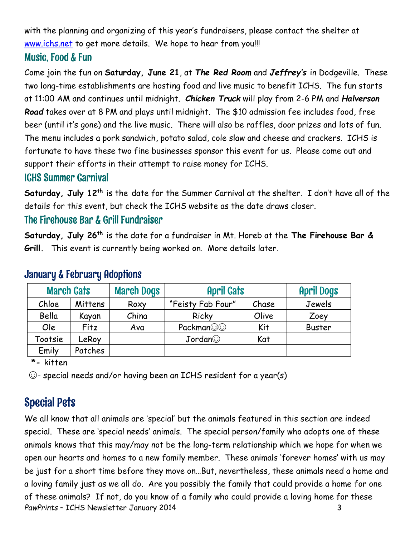with the planning and organizing of this year's fundraisers, please contact the shelter at [www.ichs.net](http://www.ichs.net/) to get more details. We hope to hear from you!!!

#### Music, Food & Fun

Come join the fun on **Saturday, June 21**, at *The Red Room* and *Jeffrey's* in Dodgeville. These two long-time establishments are hosting food and live music to benefit ICHS. The fun starts at 11:00 AM and continues until midnight. *Chicken Truck* will play from 2-6 PM and *Halverson Road* takes over at 8 PM and plays until midnight. The \$10 admission fee includes food, free beer (until it's gone) and the live music. There will also be raffles, door prizes and lots of fun. The menu includes a pork sandwich, potato salad, cole slaw and cheese and crackers. ICHS is fortunate to have these two fine businesses sponsor this event for us. Please come out and support their efforts in their attempt to raise money for ICHS.

#### ICHS Summer Carnival

**Saturday, July 12th** is the date for the Summer Carnival at the shelter. I don't have all of the details for this event, but check the ICHS website as the date draws closer.

### The Firehouse Bar & Grill Fundraiser

**Saturday, July 26th** is the date for a fundraiser in Mt. Horeb at the **The Firehouse Bar & Grill.** This event is currently being worked on. More details later.

|         | <b>March Dogs</b><br><b>March Cats</b><br><b>April Cats</b> |       | <b>April Dogs</b> |       |               |
|---------|-------------------------------------------------------------|-------|-------------------|-------|---------------|
| Chloe   | Mittens                                                     | Roxy  | "Feisty Fab Four" | Chase | Jewels        |
| Bella   | Kayan                                                       | China | Ricky             | Olive | Zoey          |
| Ole     | Fitz                                                        | Ava   | Packman           | Kit   | <b>Buster</b> |
| Tootsie | LeRoy                                                       |       | Jordan            | Kat   |               |
| Emily   | Patches                                                     |       |                   |       |               |

#### January & February Adoptions

 **\*-** kitten

☺- special needs and/or having been an ICHS resident for a year(s)

# Special Pets

*PawPrints* – ICHS Newsletter January 2014 3 We all know that all animals are 'special' but the animals featured in this section are indeed special. These are 'special needs' animals. The special person/family who adopts one of these animals knows that this may/may not be the long-term relationship which we hope for when we open our hearts and homes to a new family member. These animals 'forever homes' with us may be just for a short time before they move on…But, nevertheless, these animals need a home and a loving family just as we all do. Are you possibly the family that could provide a home for one of these animals? If not, do you know of a family who could provide a loving home for these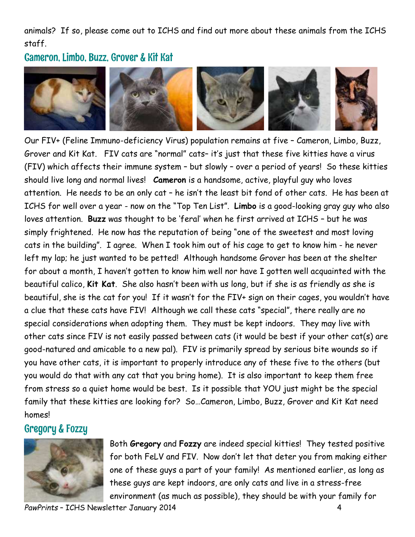animals? If so, please come out to ICHS and find out more about these animals from the ICHS staff.

#### Cameron, Limbo, Buzz, Grover & Kit Kat



Our FIV+ (Feline Immuno-deficiency Virus) population remains at five – Cameron, Limbo, Buzz, Grover and Kit Kat. FIV cats are "normal" cats– it's just that these five kitties have a virus (FIV) which affects their immune system – but slowly – over a period of years! So these kitties should live long and normal lives! **Cameron** is a handsome, active, playful guy who loves attention. He needs to be an only cat – he isn't the least bit fond of other cats. He has been at ICHS for well over a year - now on the "Top Ten List". **Limbo** is a good-looking gray guy who also loves attention. **Buzz** was thought to be 'feral' when he first arrived at ICHS – but he was simply frightened. He now has the reputation of being "one of the sweetest and most loving cats in the building". I agree. When I took him out of his cage to get to know him - he never left my lap; he just wanted to be petted! Although handsome Grover has been at the shelter for about a month, I haven't gotten to know him well nor have I gotten well acquainted with the beautiful calico, **Kit Kat**. She also hasn't been with us long, but if she is as friendly as she is beautiful, she is the cat for you! If it wasn't for the FIV+ sign on their cages, you wouldn't have a clue that these cats have FIV! Although we call these cats "special", there really are no special considerations when adopting them. They must be kept indoors. They may live with other cats since FIV is not easily passed between cats (it would be best if your other cat(s) are good-natured and amicable to a new pal). FIV is primarily spread by serious bite wounds so if you have other cats, it is important to properly introduce any of these five to the others (but you would do that with any cat that you bring home). It is also important to keep them free from stress so a quiet home would be best. Is it possible that YOU just might be the special family that these kitties are looking for? So…Cameron, Limbo, Buzz, Grover and Kit Kat need homes!

## Gregory & Fozzy



Both **Gregory** and **Fozzy** are indeed special kitties! They tested positive for both FeLV and FIV. Now don't let that deter you from making either one of these guys a part of your family! As mentioned earlier, as long as these guys are kept indoors, are only cats and live in a stress-free environment (as much as possible), they should be with your family for

PawPrints - ICHS Newsletter January 2014